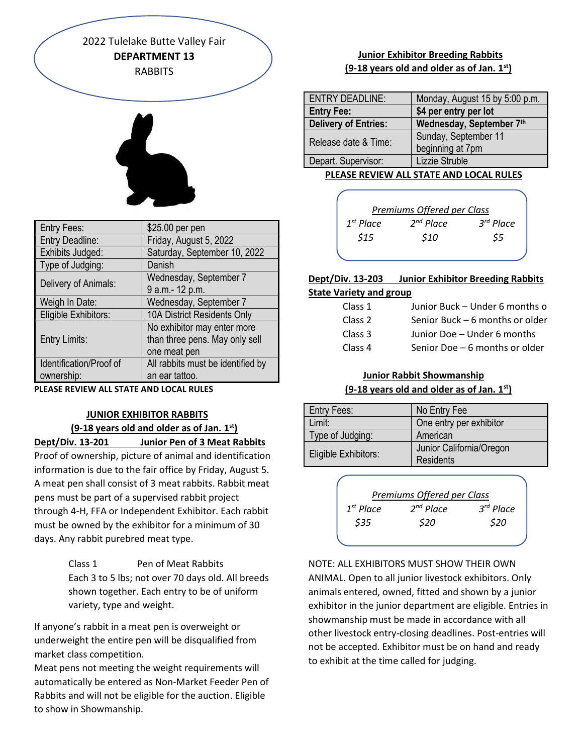2022 Tulelake Butte Valley Fair **DEPARTMENT 13 RABBITS** 



| <b>Entry Fees:</b>      | \$25.00 per pen                   |
|-------------------------|-----------------------------------|
| Entry Deadline:         | Friday, August 5, 2022            |
| Exhibits Judged:        | Saturday, September 10, 2022      |
| Type of Judging:        | Danish                            |
| Delivery of Animals:    | Wednesday, September 7            |
|                         | 9 a.m.- 12 p.m.                   |
| Weigh In Date:          | Wednesday, September 7            |
| Eligible Exhibitors:    | 10A District Residents Only       |
| <b>Entry Limits:</b>    | No exhibitor may enter more       |
|                         | than three pens. May only sell    |
|                         | one meat pen                      |
| Identification/Proof of | All rabbits must be identified by |
| ownership:              | an ear tattoo.                    |

**PLEASE REVIEW ALL STATE AND LOCAL RULES**

# **JUNIOR EXHIBITOR RABBITS (9-18 years old and older as of Jan. 1st)**

**Dept/Div. 13-201 Junior Pen of 3 Meat Rabbits**

Proof of ownership, picture of animal and identification information is due to the fair office by Friday, August 5. A meat pen shall consist of 3 meat rabbits. Rabbit meat pens must be part of a supervised rabbit project through 4-H, FFA or Independent Exhibitor. Each rabbit must be owned by the exhibitor for a minimum of 30 days. Any rabbit purebred meat type.

> Class 1 Pen of Meat Rabbits Each 3 to 5 lbs; not over 70 days old. All breeds shown together. Each entry to be of uniform variety, type and weight.

If anyone's rabbit in a meat pen is overweight or underweight the entire pen will be disqualified from market class competition.

Meat pens not meeting the weight requirements will automatically be entered as Non-Market Feeder Pen of Rabbits and will not be eligible for the auction. Eligible to show in Showmanship.

# **Junior Exhibitor Breeding Rabbits (9-18 years old and older as of Jan. 1st)**

| ENTRY DEADLINE:             | Monday, August 15 by 5:00 p.m. |
|-----------------------------|--------------------------------|
| <b>Entry Fee:</b>           | \$4 per entry per lot          |
| <b>Delivery of Entries:</b> | Wednesday, September 7th       |
| Release date & Time:        | Sunday, September 11           |
|                             | beginning at 7pm               |
| Depart. Supervisor:         | Lizzie Struble                 |

 **PLEASE REVIEW ALL STATE AND LOCAL RULES**

|                | Premiums Offered per Class |             |
|----------------|----------------------------|-------------|
| $1^{st}$ Place | $2^{nd}$ Place             | $3rd$ Place |
| \$15           | \$10                       | \$5         |
|                |                            |             |

# **Dept/Div. 13-203 Junior Exhibitor Breeding Rabbits**

# **State Variety and group**

| Class 1            | Junior Buck - Under 6 months o  |
|--------------------|---------------------------------|
| Class 2            | Senior Buck - 6 months or older |
| Class 3            | Junior Doe - Under 6 months     |
| Class <sub>4</sub> | Senior Doe - 6 months or older  |

# **Junior Rabbit Showmanship (9-18 years old and older as of Jan. 1st)**

| <b>Entry Fees:</b>   | No Entry Fee                                 |
|----------------------|----------------------------------------------|
| Limit:               | One entry per exhibitor                      |
| Type of Judging:     | American                                     |
| Eligible Exhibitors: | Junior California/Oregon<br><b>Residents</b> |



NOTE: ALL EXHIBITORS MUST SHOW THEIR OWN ANIMAL. Open to all junior livestock exhibitors. Only animals entered, owned, fitted and shown by a junior exhibitor in the junior department are eligible. Entries in showmanship must be made in accordance with all other livestock entry-closing deadlines. Post-entries will not be accepted. Exhibitor must be on hand and ready to exhibit at the time called for judging.